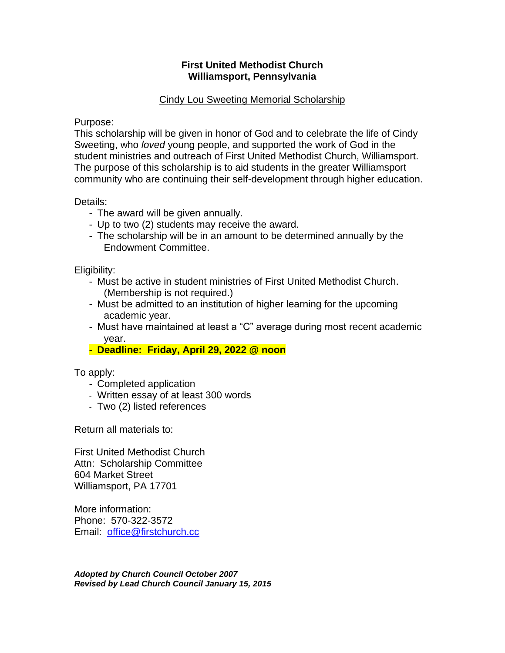## **First United Methodist Church Williamsport, Pennsylvania**

# Cindy Lou Sweeting Memorial Scholarship

Purpose:

This scholarship will be given in honor of God and to celebrate the life of Cindy Sweeting, who *loved* young people, and supported the work of God in the student ministries and outreach of First United Methodist Church, Williamsport. The purpose of this scholarship is to aid students in the greater Williamsport community who are continuing their self-development through higher education.

Details:

- The award will be given annually.
- Up to two (2) students may receive the award.
- The scholarship will be in an amount to be determined annually by the Endowment Committee.

Eligibility:

- Must be active in student ministries of First United Methodist Church. (Membership is not required.)
- Must be admitted to an institution of higher learning for the upcoming academic year.
- Must have maintained at least a "C" average during most recent academic year.
- **Deadline: Friday, April 29, 2022 @ noon**

To apply:

- Completed application
- Written essay of at least 300 words
- Two (2) listed references

Return all materials to:

First United Methodist Church Attn: Scholarship Committee 604 Market Street Williamsport, PA 17701

More information: Phone: 570-322-3572 Email: [office@firstchurch.cc](mailto:office@firstchurch.cc)

*Adopted by Church Council October 2007 Revised by Lead Church Council January 15, 2015*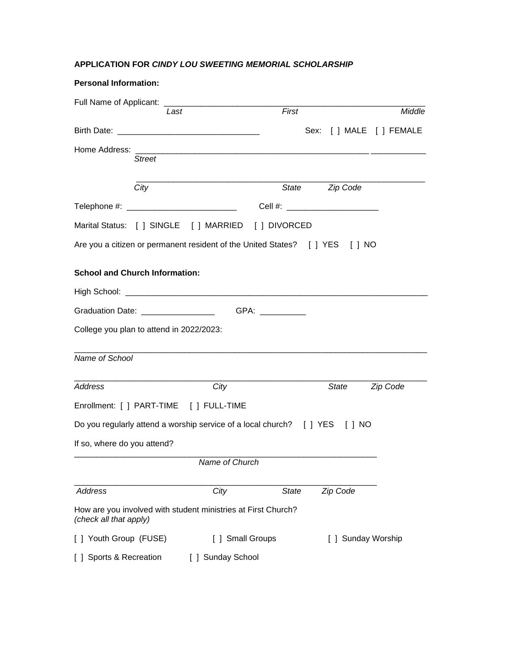### **APPLICATION FOR** *CINDY LOU SWEETING MEMORIAL SCHOLARSHIP*

| <b>Personal Information:</b>             |                                                                                  |                                  |
|------------------------------------------|----------------------------------------------------------------------------------|----------------------------------|
|                                          | First<br>Last                                                                    | Middle                           |
|                                          |                                                                                  | Sex: [ ] MALE [ ] FEMALE         |
| <b>Street</b>                            |                                                                                  |                                  |
| City                                     |                                                                                  | State <b>Zip Code</b>            |
|                                          |                                                                                  | Cell #: ________________________ |
|                                          | Marital Status: [ ] SINGLE [ ] MARRIED [ ] DIVORCED                              |                                  |
|                                          | Are you a citizen or permanent resident of the United States? [ ] YES [ ] NO     |                                  |
| <b>School and Church Information:</b>    |                                                                                  |                                  |
|                                          |                                                                                  |                                  |
|                                          | Graduation Date: _____________________________GPA: _____________________________ |                                  |
| College you plan to attend in 2022/2023: |                                                                                  |                                  |
| Name of School                           |                                                                                  |                                  |
| Address                                  | City                                                                             | State<br>Zip Code                |
| Enrollment: [ ] PART-TIME [ ] FULL-TIME  |                                                                                  |                                  |
|                                          | Do you regularly attend a worship service of a local church? [ ] YES [ ] NO      |                                  |
| If so, where do you attend?              |                                                                                  |                                  |
|                                          | Name of Church                                                                   |                                  |
| Address                                  | City<br>State                                                                    | Zip Code                         |
| (check all that apply)                   | How are you involved with student ministries at First Church?                    |                                  |
| [ ] Youth Group (FUSE)                   | [ ] Small Groups                                                                 | [ ] Sunday Worship               |
| [ ] Sports & Recreation                  | [ ] Sunday School                                                                |                                  |